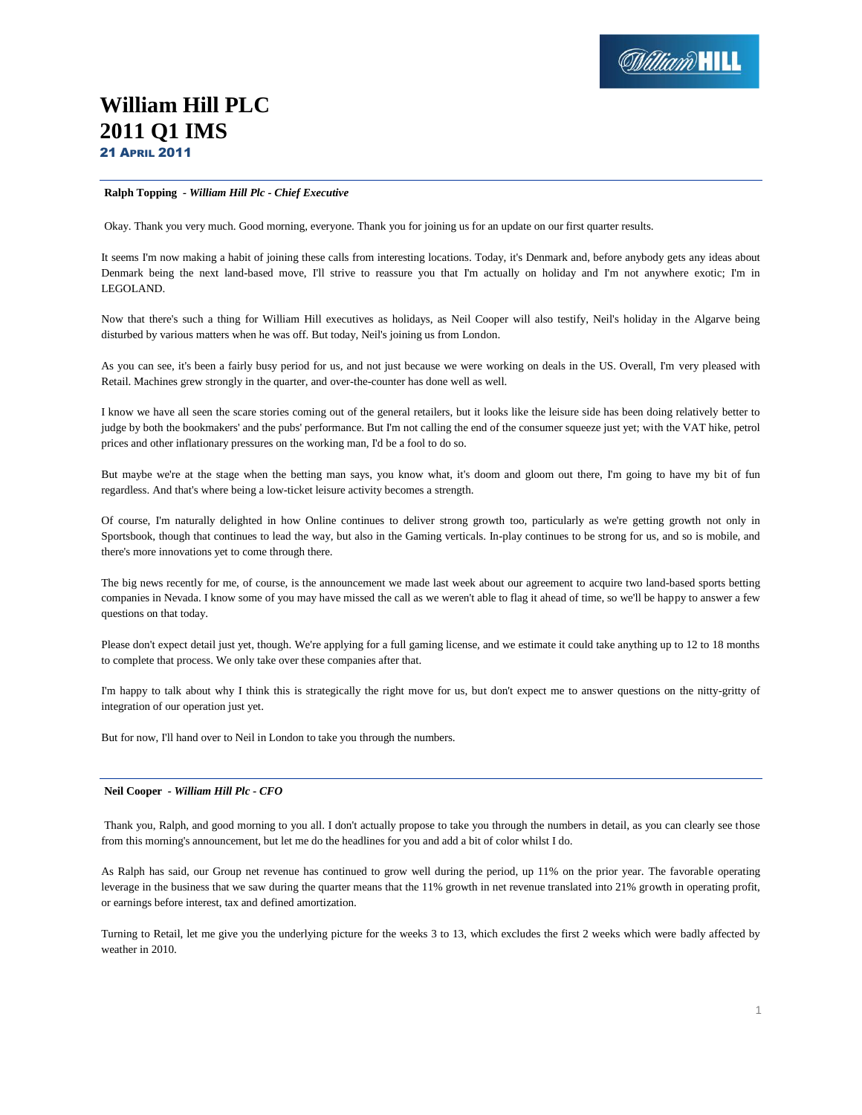# **William Hill PLC 2011 Q1 IMS** 21 APRIL 2011

# **Ralph Topping** *- William Hill Plc - Chief Executive*

Okay. Thank you very much. Good morning, everyone. Thank you for joining us for an update on our first quarter results.

It seems I'm now making a habit of joining these calls from interesting locations. Today, it's Denmark and, before anybody gets any ideas about Denmark being the next land-based move, I'll strive to reassure you that I'm actually on holiday and I'm not anywhere exotic; I'm in LEGOLAND.

Now that there's such a thing for William Hill executives as holidays, as Neil Cooper will also testify, Neil's holiday in the Algarve being disturbed by various matters when he was off. But today, Neil's joining us from London.

As you can see, it's been a fairly busy period for us, and not just because we were working on deals in the US. Overall, I'm very pleased with Retail. Machines grew strongly in the quarter, and over-the-counter has done well as well.

I know we have all seen the scare stories coming out of the general retailers, but it looks like the leisure side has been doing relatively better to judge by both the bookmakers' and the pubs' performance. But I'm not calling the end of the consumer squeeze just yet; with the VAT hike, petrol prices and other inflationary pressures on the working man, I'd be a fool to do so.

But maybe we're at the stage when the betting man says, you know what, it's doom and gloom out there, I'm going to have my bit of fun regardless. And that's where being a low-ticket leisure activity becomes a strength.

Of course, I'm naturally delighted in how Online continues to deliver strong growth too, particularly as we're getting growth not only in Sportsbook, though that continues to lead the way, but also in the Gaming verticals. In-play continues to be strong for us, and so is mobile, and there's more innovations yet to come through there.

The big news recently for me, of course, is the announcement we made last week about our agreement to acquire two land-based sports betting companies in Nevada. I know some of you may have missed the call as we weren't able to flag it ahead of time, so we'll be happy to answer a few questions on that today.

Please don't expect detail just yet, though. We're applying for a full gaming license, and we estimate it could take anything up to 12 to 18 months to complete that process. We only take over these companies after that.

I'm happy to talk about why I think this is strategically the right move for us, but don't expect me to answer questions on the nitty-gritty of integration of our operation just yet.

But for now, I'll hand over to Neil in London to take you through the numbers.

# **Neil Cooper** *- William Hill Plc - CFO*

Thank you, Ralph, and good morning to you all. I don't actually propose to take you through the numbers in detail, as you can clearly see those from this morning's announcement, but let me do the headlines for you and add a bit of color whilst I do.

As Ralph has said, our Group net revenue has continued to grow well during the period, up 11% on the prior year. The favorable operating leverage in the business that we saw during the quarter means that the 11% growth in net revenue translated into 21% growth in operating profit, or earnings before interest, tax and defined amortization.

Turning to Retail, let me give you the underlying picture for the weeks 3 to 13, which excludes the first 2 weeks which were badly affected by weather in 2010.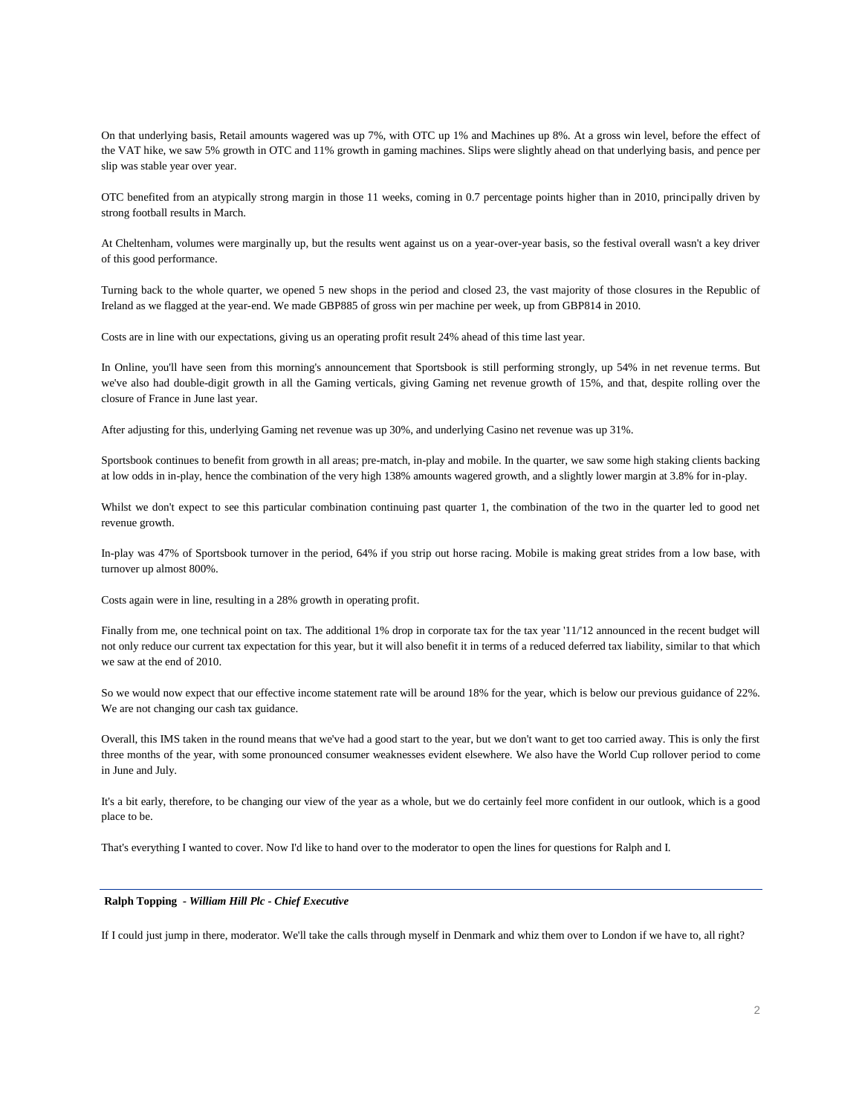On that underlying basis, Retail amounts wagered was up 7%, with OTC up 1% and Machines up 8%. At a gross win level, before the effect of the VAT hike, we saw 5% growth in OTC and 11% growth in gaming machines. Slips were slightly ahead on that underlying basis, and pence per slip was stable year over year.

OTC benefited from an atypically strong margin in those 11 weeks, coming in 0.7 percentage points higher than in 2010, principally driven by strong football results in March.

At Cheltenham, volumes were marginally up, but the results went against us on a year-over-year basis, so the festival overall wasn't a key driver of this good performance.

Turning back to the whole quarter, we opened 5 new shops in the period and closed 23, the vast majority of those closures in the Republic of Ireland as we flagged at the year-end. We made GBP885 of gross win per machine per week, up from GBP814 in 2010.

Costs are in line with our expectations, giving us an operating profit result 24% ahead of this time last year.

In Online, you'll have seen from this morning's announcement that Sportsbook is still performing strongly, up 54% in net revenue terms. But we've also had double-digit growth in all the Gaming verticals, giving Gaming net revenue growth of 15%, and that, despite rolling over the closure of France in June last year.

After adjusting for this, underlying Gaming net revenue was up 30%, and underlying Casino net revenue was up 31%.

Sportsbook continues to benefit from growth in all areas; pre-match, in-play and mobile. In the quarter, we saw some high staking clients backing at low odds in in-play, hence the combination of the very high 138% amounts wagered growth, and a slightly lower margin at 3.8% for in-play.

Whilst we don't expect to see this particular combination continuing past quarter 1, the combination of the two in the quarter led to good net revenue growth.

In-play was 47% of Sportsbook turnover in the period, 64% if you strip out horse racing. Mobile is making great strides from a low base, with turnover up almost 800%.

Costs again were in line, resulting in a 28% growth in operating profit.

Finally from me, one technical point on tax. The additional 1% drop in corporate tax for the tax year '11/'12 announced in the recent budget will not only reduce our current tax expectation for this year, but it will also benefit it in terms of a reduced deferred tax liability, similar to that which we saw at the end of 2010.

So we would now expect that our effective income statement rate will be around 18% for the year, which is below our previous guidance of 22%. We are not changing our cash tax guidance.

Overall, this IMS taken in the round means that we've had a good start to the year, but we don't want to get too carried away. This is only the first three months of the year, with some pronounced consumer weaknesses evident elsewhere. We also have the World Cup rollover period to come in June and July.

It's a bit early, therefore, to be changing our view of the year as a whole, but we do certainly feel more confident in our outlook, which is a good place to be.

That's everything I wanted to cover. Now I'd like to hand over to the moderator to open the lines for questions for Ralph and I.

# **Ralph Topping** *- William Hill Plc - Chief Executive*

If I could just jump in there, moderator. We'll take the calls through myself in Denmark and whiz them over to London if we have to, all right?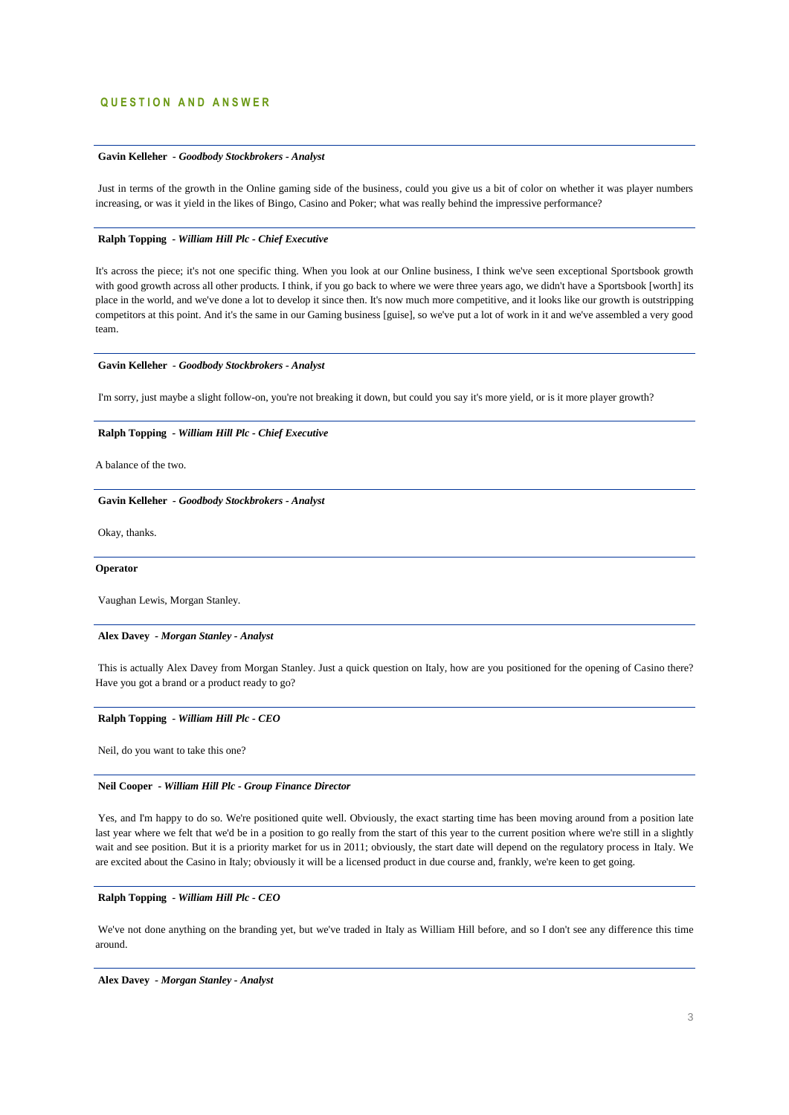# **Q U E S T I O N A N D A N S W E R**

# **Gavin Kelleher** *- Goodbody Stockbrokers - Analyst*

Just in terms of the growth in the Online gaming side of the business, could you give us a bit of color on whether it was player numbers increasing, or was it yield in the likes of Bingo, Casino and Poker; what was really behind the impressive performance?

# **Ralph Topping** *- William Hill Plc - Chief Executive*

It's across the piece; it's not one specific thing. When you look at our Online business, I think we've seen exceptional Sportsbook growth with good growth across all other products. I think, if you go back to where we were three years ago, we didn't have a Sportsbook [worth] its place in the world, and we've done a lot to develop it since then. It's now much more competitive, and it looks like our growth is outstripping competitors at this point. And it's the same in our Gaming business [guise], so we've put a lot of work in it and we've assembled a very good team.

### **Gavin Kelleher** *- Goodbody Stockbrokers - Analyst*

I'm sorry, just maybe a slight follow-on, you're not breaking it down, but could you say it's more yield, or is it more player growth?

### **Ralph Topping** *- William Hill Plc - Chief Executive*

A balance of the two.

#### **Gavin Kelleher** *- Goodbody Stockbrokers - Analyst*

Okay, thanks.

### **Operator**

Vaughan Lewis, Morgan Stanley.

#### **Alex Davey** *- Morgan Stanley - Analyst*

This is actually Alex Davey from Morgan Stanley. Just a quick question on Italy, how are you positioned for the opening of Casino there? Have you got a brand or a product ready to go?

# **Ralph Topping** *- William Hill Plc - CEO*

Neil, do you want to take this one?

#### **Neil Cooper** *- William Hill Plc - Group Finance Director*

Yes, and I'm happy to do so. We're positioned quite well. Obviously, the exact starting time has been moving around from a position late last year where we felt that we'd be in a position to go really from the start of this year to the current position where we're still in a slightly wait and see position. But it is a priority market for us in 2011; obviously, the start date will depend on the regulatory process in Italy. We are excited about the Casino in Italy; obviously it will be a licensed product in due course and, frankly, we're keen to get going.

### **Ralph Topping** *- William Hill Plc - CEO*

We've not done anything on the branding yet, but we've traded in Italy as William Hill before, and so I don't see any difference this time around.

**Alex Davey** *- Morgan Stanley - Analyst*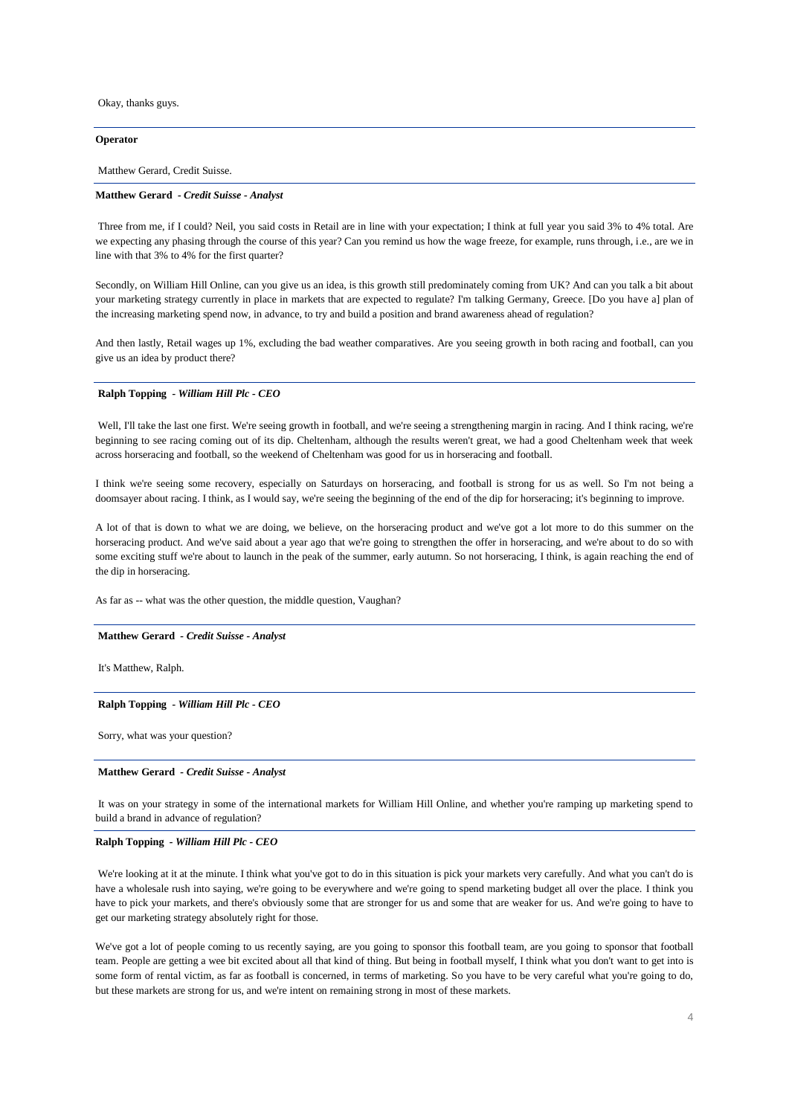Okay, thanks guys.

### **Operator**

Matthew Gerard, Credit Suisse.

# **Matthew Gerard** *- Credit Suisse - Analyst*

Three from me, if I could? Neil, you said costs in Retail are in line with your expectation; I think at full year you said 3% to 4% total. Are we expecting any phasing through the course of this year? Can you remind us how the wage freeze, for example, runs through, i.e., are we in line with that 3% to 4% for the first quarter?

Secondly, on William Hill Online, can you give us an idea, is this growth still predominately coming from UK? And can you talk a bit about your marketing strategy currently in place in markets that are expected to regulate? I'm talking Germany, Greece. [Do you have a] plan of the increasing marketing spend now, in advance, to try and build a position and brand awareness ahead of regulation?

And then lastly, Retail wages up 1%, excluding the bad weather comparatives. Are you seeing growth in both racing and football, can you give us an idea by product there?

### **Ralph Topping** *- William Hill Plc - CEO*

Well, I'll take the last one first. We're seeing growth in football, and we're seeing a strengthening margin in racing. And I think racing, we're beginning to see racing coming out of its dip. Cheltenham, although the results weren't great, we had a good Cheltenham week that week across horseracing and football, so the weekend of Cheltenham was good for us in horseracing and football.

I think we're seeing some recovery, especially on Saturdays on horseracing, and football is strong for us as well. So I'm not being a doomsayer about racing. I think, as I would say, we're seeing the beginning of the end of the dip for horseracing; it's beginning to improve.

A lot of that is down to what we are doing, we believe, on the horseracing product and we've got a lot more to do this summer on the horseracing product. And we've said about a year ago that we're going to strengthen the offer in horseracing, and we're about to do so with some exciting stuff we're about to launch in the peak of the summer, early autumn. So not horseracing, I think, is again reaching the end of the dip in horseracing.

As far as -- what was the other question, the middle question, Vaughan?

#### **Matthew Gerard** *- Credit Suisse - Analyst*

It's Matthew, Ralph.

### **Ralph Topping** *- William Hill Plc - CEO*

Sorry, what was your question?

#### **Matthew Gerard** *- Credit Suisse - Analyst*

It was on your strategy in some of the international markets for William Hill Online, and whether you're ramping up marketing spend to build a brand in advance of regulation?

#### **Ralph Topping** *- William Hill Plc - CEO*

We're looking at it at the minute. I think what you've got to do in this situation is pick your markets very carefully. And what you can't do is have a wholesale rush into saying, we're going to be everywhere and we're going to spend marketing budget all over the place. I think you have to pick your markets, and there's obviously some that are stronger for us and some that are weaker for us. And we're going to have to get our marketing strategy absolutely right for those.

We've got a lot of people coming to us recently saying, are you going to sponsor this football team, are you going to sponsor that football team. People are getting a wee bit excited about all that kind of thing. But being in football myself, I think what you don't want to get into is some form of rental victim, as far as football is concerned, in terms of marketing. So you have to be very careful what you're going to do, but these markets are strong for us, and we're intent on remaining strong in most of these markets.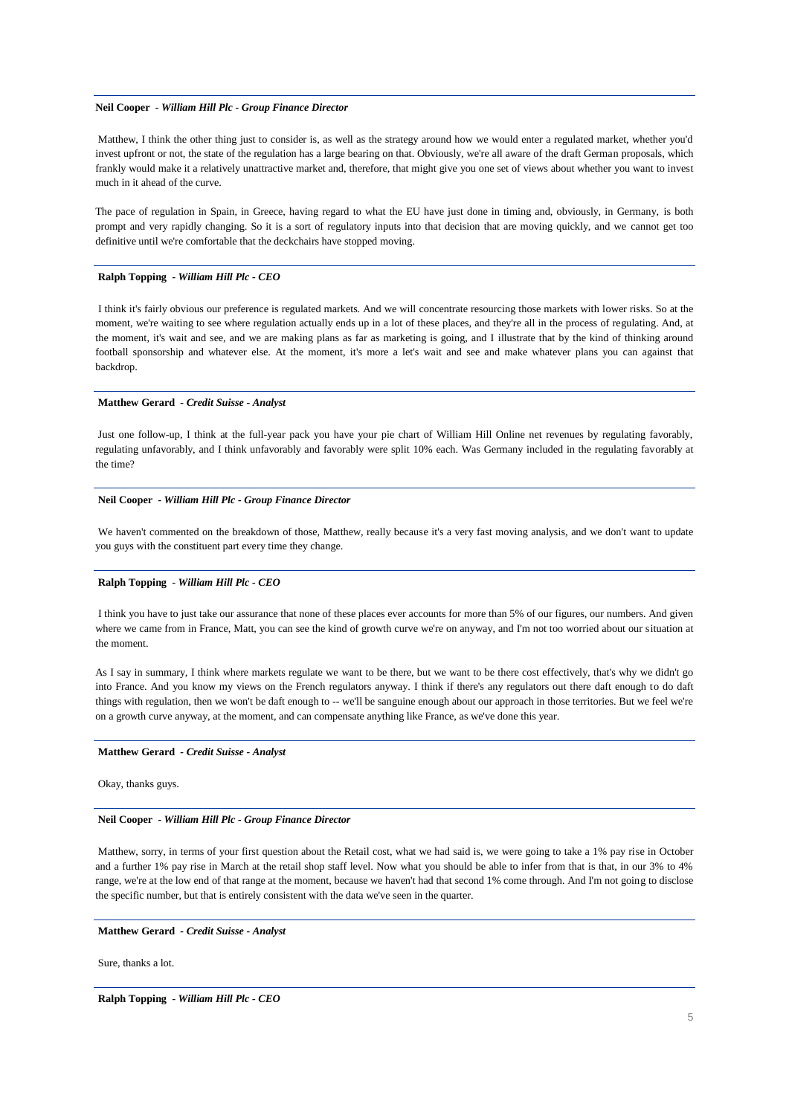# **Neil Cooper** *- William Hill Plc - Group Finance Director*

Matthew, I think the other thing just to consider is, as well as the strategy around how we would enter a regulated market, whether you'd invest upfront or not, the state of the regulation has a large bearing on that. Obviously, we're all aware of the draft German proposals, which frankly would make it a relatively unattractive market and, therefore, that might give you one set of views about whether you want to invest much in it ahead of the curve.

The pace of regulation in Spain, in Greece, having regard to what the EU have just done in timing and, obviously, in Germany, is both prompt and very rapidly changing. So it is a sort of regulatory inputs into that decision that are moving quickly, and we cannot get too definitive until we're comfortable that the deckchairs have stopped moving.

#### **Ralph Topping** *- William Hill Plc - CEO*

I think it's fairly obvious our preference is regulated markets. And we will concentrate resourcing those markets with lower risks. So at the moment, we're waiting to see where regulation actually ends up in a lot of these places, and they're all in the process of regulating. And, at the moment, it's wait and see, and we are making plans as far as marketing is going, and I illustrate that by the kind of thinking around football sponsorship and whatever else. At the moment, it's more a let's wait and see and make whatever plans you can against that backdrop.

#### **Matthew Gerard** *- Credit Suisse - Analyst*

Just one follow-up, I think at the full-year pack you have your pie chart of William Hill Online net revenues by regulating favorably, regulating unfavorably, and I think unfavorably and favorably were split 10% each. Was Germany included in the regulating favorably at the time?

# **Neil Cooper** *- William Hill Plc - Group Finance Director*

We haven't commented on the breakdown of those, Matthew, really because it's a very fast moving analysis, and we don't want to update you guys with the constituent part every time they change.

#### **Ralph Topping** *- William Hill Plc - CEO*

I think you have to just take our assurance that none of these places ever accounts for more than 5% of our figures, our numbers. And given where we came from in France, Matt, you can see the kind of growth curve we're on anyway, and I'm not too worried about our situation at the moment.

As I say in summary, I think where markets regulate we want to be there, but we want to be there cost effectively, that's why we didn't go into France. And you know my views on the French regulators anyway. I think if there's any regulators out there daft enough to do daft things with regulation, then we won't be daft enough to -- we'll be sanguine enough about our approach in those territories. But we feel we're on a growth curve anyway, at the moment, and can compensate anything like France, as we've done this year.

#### **Matthew Gerard** *- Credit Suisse - Analyst*

Okay, thanks guys.

# **Neil Cooper** *- William Hill Plc - Group Finance Director*

Matthew, sorry, in terms of your first question about the Retail cost, what we had said is, we were going to take a 1% pay rise in October and a further 1% pay rise in March at the retail shop staff level. Now what you should be able to infer from that is that, in our 3% to 4% range, we're at the low end of that range at the moment, because we haven't had that second 1% come through. And I'm not going to disclose the specific number, but that is entirely consistent with the data we've seen in the quarter.

#### **Matthew Gerard** *- Credit Suisse - Analyst*

Sure, thanks a lot.

**Ralph Topping** *- William Hill Plc - CEO*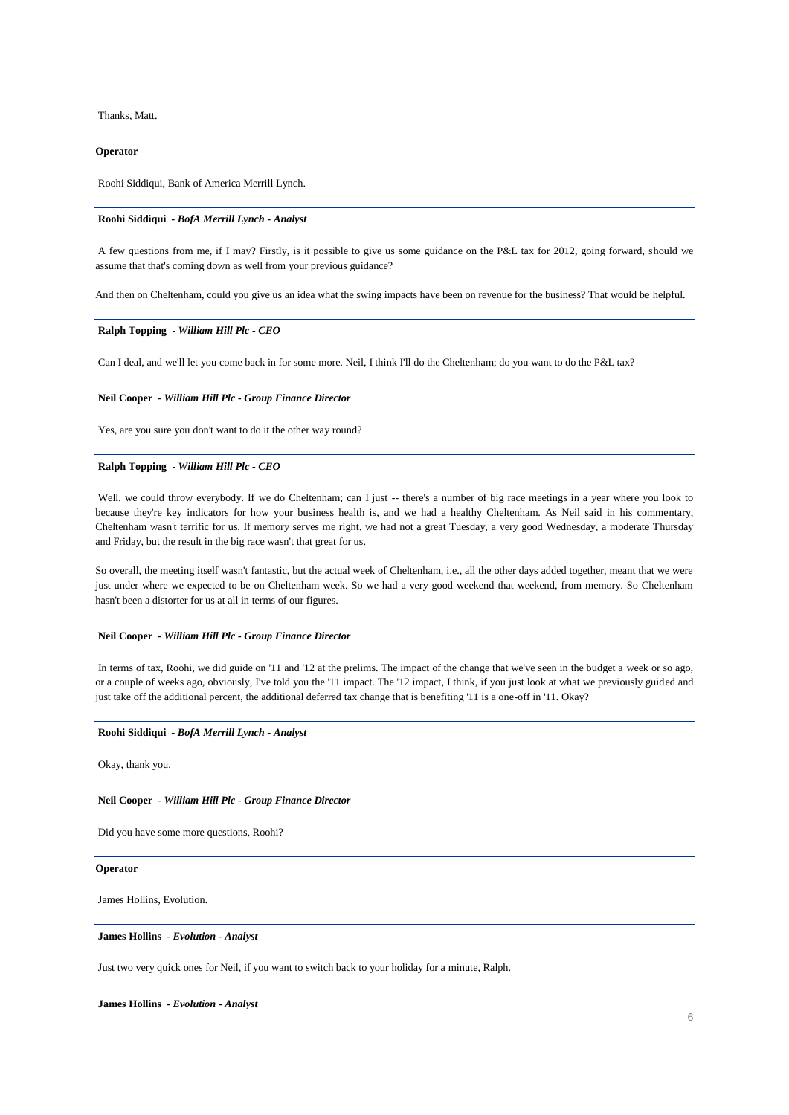Thanks, Matt.

### **Operator**

Roohi Siddiqui, Bank of America Merrill Lynch.

#### **Roohi Siddiqui** *- BofA Merrill Lynch - Analyst*

A few questions from me, if I may? Firstly, is it possible to give us some guidance on the P&L tax for 2012, going forward, should we assume that that's coming down as well from your previous guidance?

And then on Cheltenham, could you give us an idea what the swing impacts have been on revenue for the business? That would be helpful.

# **Ralph Topping** *- William Hill Plc - CEO*

Can I deal, and we'll let you come back in for some more. Neil, I think I'll do the Cheltenham; do you want to do the P&L tax?

# **Neil Cooper** *- William Hill Plc - Group Finance Director*

Yes, are you sure you don't want to do it the other way round?

### **Ralph Topping** *- William Hill Plc - CEO*

Well, we could throw everybody. If we do Cheltenham; can I just -- there's a number of big race meetings in a year where you look to because they're key indicators for how your business health is, and we had a healthy Cheltenham. As Neil said in his commentary, Cheltenham wasn't terrific for us. If memory serves me right, we had not a great Tuesday, a very good Wednesday, a moderate Thursday and Friday, but the result in the big race wasn't that great for us.

So overall, the meeting itself wasn't fantastic, but the actual week of Cheltenham, i.e., all the other days added together, meant that we were just under where we expected to be on Cheltenham week. So we had a very good weekend that weekend, from memory. So Cheltenham hasn't been a distorter for us at all in terms of our figures.

### **Neil Cooper** *- William Hill Plc - Group Finance Director*

In terms of tax, Roohi, we did guide on '11 and '12 at the prelims. The impact of the change that we've seen in the budget a week or so ago, or a couple of weeks ago, obviously, I've told you the '11 impact. The '12 impact, I think, if you just look at what we previously guided and just take off the additional percent, the additional deferred tax change that is benefiting '11 is a one-off in '11. Okay?

# **Roohi Siddiqui** *- BofA Merrill Lynch - Analyst*

Okay, thank you.

# **Neil Cooper** *- William Hill Plc - Group Finance Director*

Did you have some more questions, Roohi?

#### **Operator**

James Hollins, Evolution.

#### **James Hollins** *- Evolution - Analyst*

Just two very quick ones for Neil, if you want to switch back to your holiday for a minute, Ralph.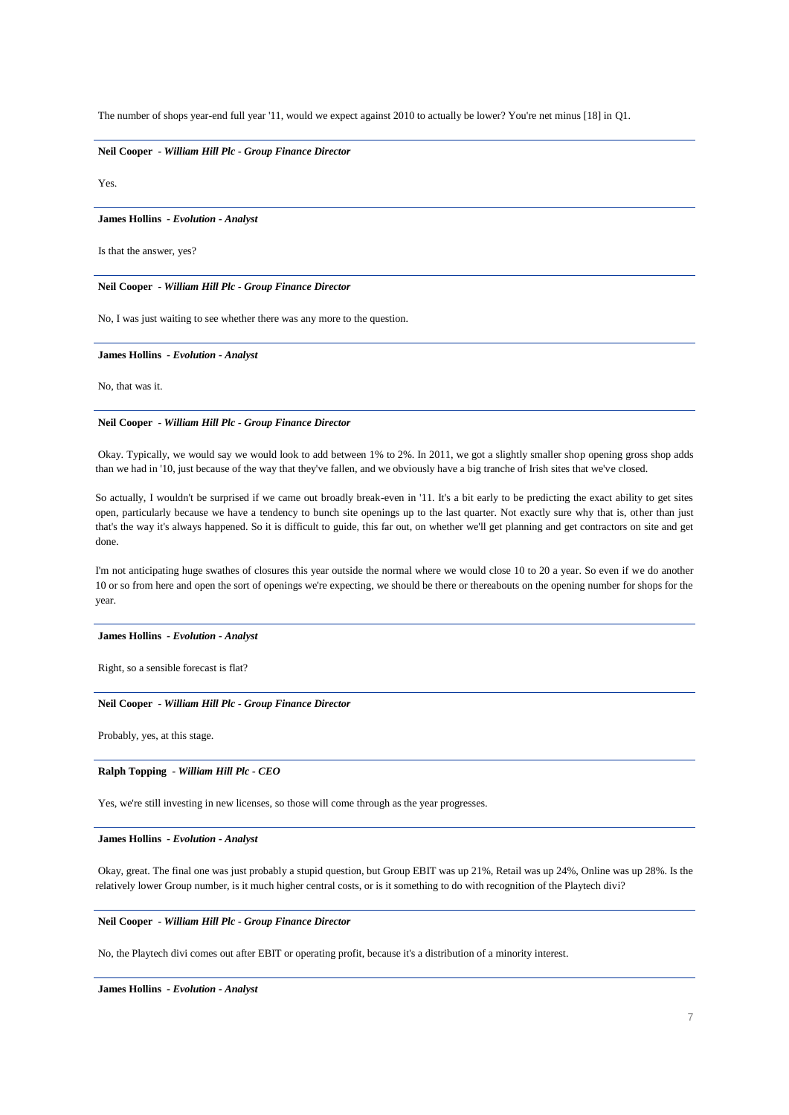The number of shops year-end full year '11, would we expect against 2010 to actually be lower? You're net minus [18] in Q1.

# **Neil Cooper** *- William Hill Plc - Group Finance Director*

Yes.

#### **James Hollins** *- Evolution - Analyst*

Is that the answer, yes?

# **Neil Cooper** *- William Hill Plc - Group Finance Director*

No, I was just waiting to see whether there was any more to the question.

# **James Hollins** *- Evolution - Analyst*

No, that was it.

#### **Neil Cooper** *- William Hill Plc - Group Finance Director*

Okay. Typically, we would say we would look to add between 1% to 2%. In 2011, we got a slightly smaller shop opening gross shop adds than we had in '10, just because of the way that they've fallen, and we obviously have a big tranche of Irish sites that we've closed.

So actually, I wouldn't be surprised if we came out broadly break-even in '11. It's a bit early to be predicting the exact ability to get sites open, particularly because we have a tendency to bunch site openings up to the last quarter. Not exactly sure why that is, other than just that's the way it's always happened. So it is difficult to guide, this far out, on whether we'll get planning and get contractors on site and get done.

I'm not anticipating huge swathes of closures this year outside the normal where we would close 10 to 20 a year. So even if we do another 10 or so from here and open the sort of openings we're expecting, we should be there or thereabouts on the opening number for shops for the year.

#### **James Hollins** *- Evolution - Analyst*

Right, so a sensible forecast is flat?

# **Neil Cooper** *- William Hill Plc - Group Finance Director*

Probably, yes, at this stage.

#### **Ralph Topping** *- William Hill Plc - CEO*

Yes, we're still investing in new licenses, so those will come through as the year progresses.

#### **James Hollins** *- Evolution - Analyst*

Okay, great. The final one was just probably a stupid question, but Group EBIT was up 21%, Retail was up 24%, Online was up 28%. Is the relatively lower Group number, is it much higher central costs, or is it something to do with recognition of the Playtech divi?

# **Neil Cooper** *- William Hill Plc - Group Finance Director*

No, the Playtech divi comes out after EBIT or operating profit, because it's a distribution of a minority interest.

**James Hollins** *- Evolution - Analyst*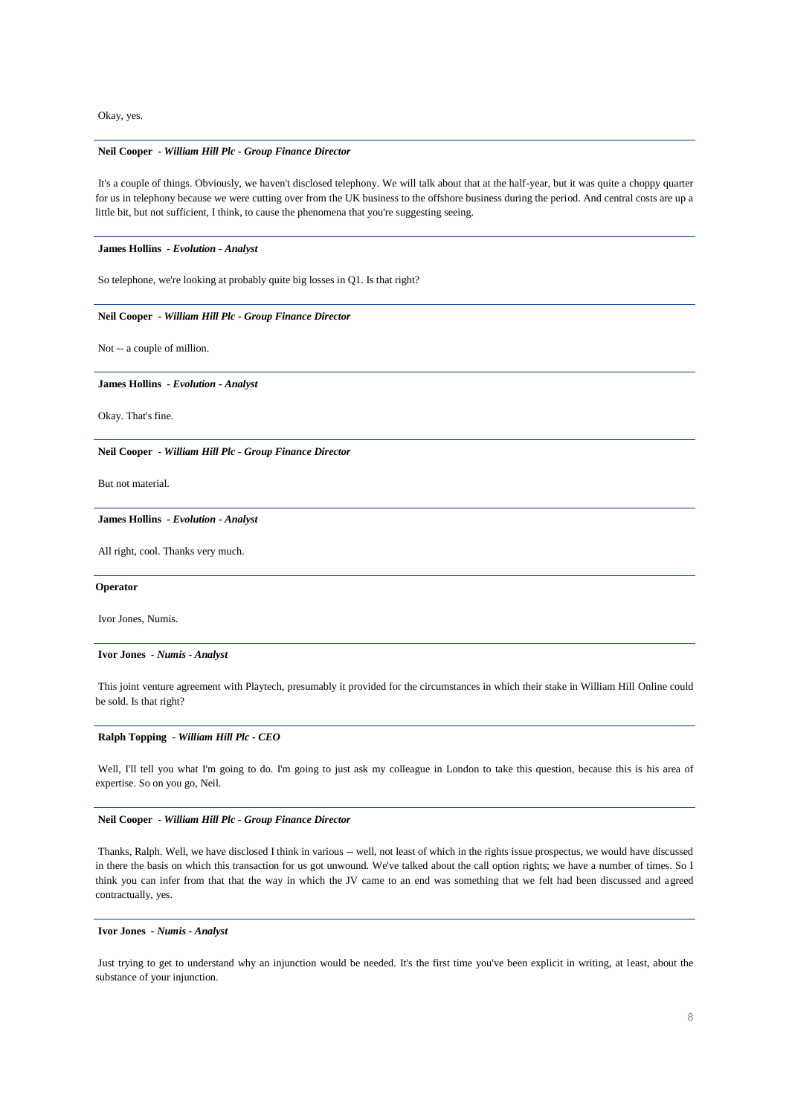Okay, yes.

# **Neil Cooper** *- William Hill Plc - Group Finance Director*

It's a couple of things. Obviously, we haven't disclosed telephony. We will talk about that at the half-year, but it was quite a choppy quarter for us in telephony because we were cutting over from the UK business to the offshore business during the period. And central costs are up a little bit, but not sufficient, I think, to cause the phenomena that you're suggesting seeing.

**James Hollins** *- Evolution - Analyst* 

So telephone, we're looking at probably quite big losses in Q1. Is that right?

**Neil Cooper** *- William Hill Plc - Group Finance Director* 

Not -- a couple of million.

**James Hollins** *- Evolution - Analyst* 

Okay. That's fine.

**Neil Cooper** *- William Hill Plc - Group Finance Director* 

But not material.

### **James Hollins** *- Evolution - Analyst*

All right, cool. Thanks very much.

# **Operator**

Ivor Jones, Numis.

### **Ivor Jones** *- Numis - Analyst*

This joint venture agreement with Playtech, presumably it provided for the circumstances in which their stake in William Hill Online could be sold. Is that right?

# **Ralph Topping** *- William Hill Plc - CEO*

Well, I'll tell you what I'm going to do. I'm going to just ask my colleague in London to take this question, because this is his area of expertise. So on you go, Neil.

# **Neil Cooper** *- William Hill Plc - Group Finance Director*

Thanks, Ralph. Well, we have disclosed I think in various -- well, not least of which in the rights issue prospectus, we would have discussed in there the basis on which this transaction for us got unwound. We've talked about the call option rights; we have a number of times. So I think you can infer from that that the way in which the JV came to an end was something that we felt had been discussed and agreed contractually, yes.

#### **Ivor Jones** *- Numis - Analyst*

Just trying to get to understand why an injunction would be needed. It's the first time you've been explicit in writing, at least, about the substance of your injunction.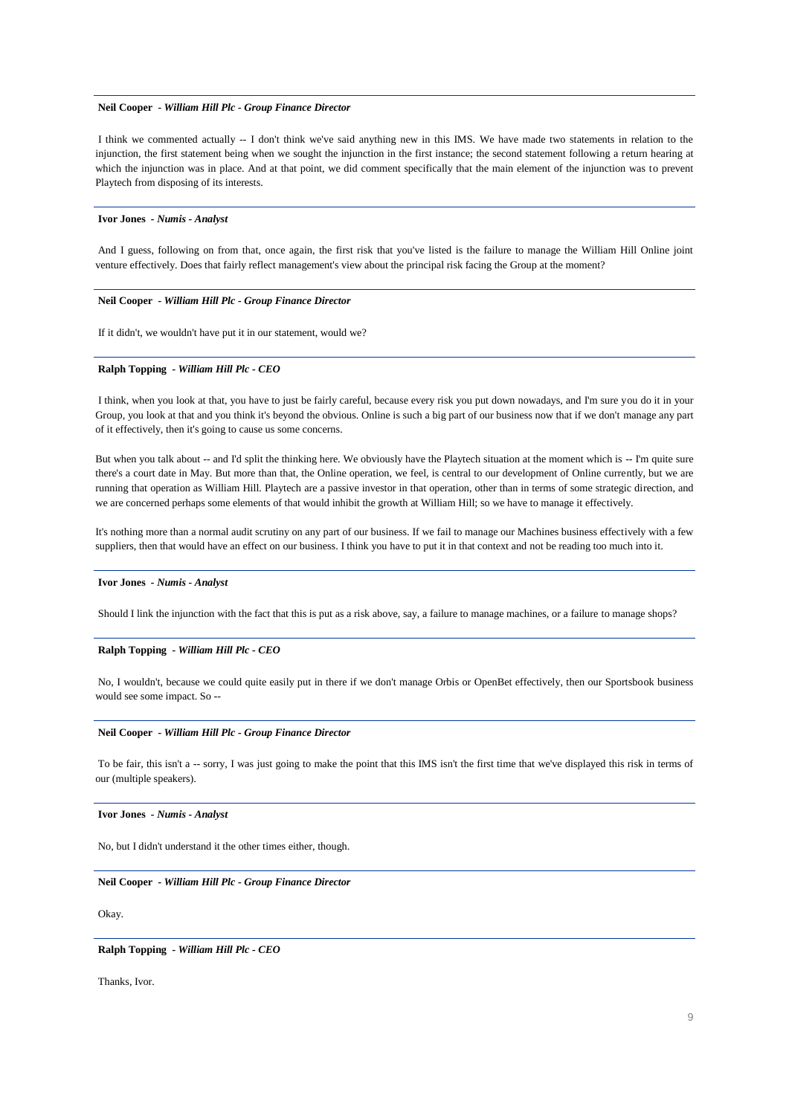# **Neil Cooper** *- William Hill Plc - Group Finance Director*

I think we commented actually -- I don't think we've said anything new in this IMS. We have made two statements in relation to the injunction, the first statement being when we sought the injunction in the first instance; the second statement following a return hearing at which the injunction was in place. And at that point, we did comment specifically that the main element of the injunction was to prevent Playtech from disposing of its interests.

#### **Ivor Jones** *- Numis - Analyst*

And I guess, following on from that, once again, the first risk that you've listed is the failure to manage the William Hill Online joint venture effectively. Does that fairly reflect management's view about the principal risk facing the Group at the moment?

### **Neil Cooper** *- William Hill Plc - Group Finance Director*

If it didn't, we wouldn't have put it in our statement, would we?

# **Ralph Topping** *- William Hill Plc - CEO*

I think, when you look at that, you have to just be fairly careful, because every risk you put down nowadays, and I'm sure you do it in your Group, you look at that and you think it's beyond the obvious. Online is such a big part of our business now that if we don't manage any part of it effectively, then it's going to cause us some concerns.

But when you talk about -- and I'd split the thinking here. We obviously have the Playtech situation at the moment which is -- I'm quite sure there's a court date in May. But more than that, the Online operation, we feel, is central to our development of Online currently, but we are running that operation as William Hill. Playtech are a passive investor in that operation, other than in terms of some strategic direction, and we are concerned perhaps some elements of that would inhibit the growth at William Hill; so we have to manage it effectively.

It's nothing more than a normal audit scrutiny on any part of our business. If we fail to manage our Machines business effectively with a few suppliers, then that would have an effect on our business. I think you have to put it in that context and not be reading too much into it.

#### **Ivor Jones** *- Numis - Analyst*

Should I link the injunction with the fact that this is put as a risk above, say, a failure to manage machines, or a failure to manage shops?

#### **Ralph Topping** *- William Hill Plc - CEO*

No, I wouldn't, because we could quite easily put in there if we don't manage Orbis or OpenBet effectively, then our Sportsbook business would see some impact. So --

# **Neil Cooper** *- William Hill Plc - Group Finance Director*

To be fair, this isn't a -- sorry, I was just going to make the point that this IMS isn't the first time that we've displayed this risk in terms of our (multiple speakers).

#### **Ivor Jones** *- Numis - Analyst*

No, but I didn't understand it the other times either, though.

# **Neil Cooper** *- William Hill Plc - Group Finance Director*

Okay.

**Ralph Topping** *- William Hill Plc - CEO* 

Thanks, Ivor.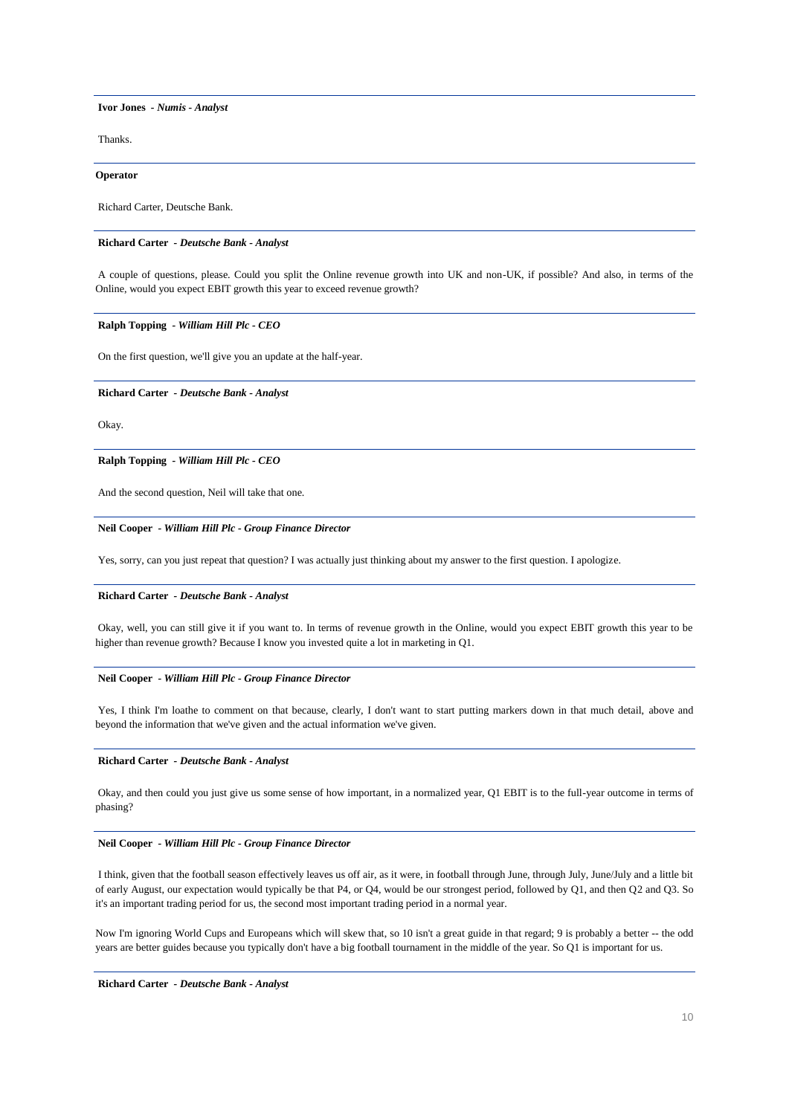**Ivor Jones** *- Numis - Analyst* 

Thanks.

**Operator**

Richard Carter, Deutsche Bank.

# **Richard Carter** *- Deutsche Bank - Analyst*

A couple of questions, please. Could you split the Online revenue growth into UK and non-UK, if possible? And also, in terms of the Online, would you expect EBIT growth this year to exceed revenue growth?

# **Ralph Topping** *- William Hill Plc - CEO*

On the first question, we'll give you an update at the half-year.

#### **Richard Carter** *- Deutsche Bank - Analyst*

Okay.

# **Ralph Topping** *- William Hill Plc - CEO*

And the second question, Neil will take that one.

# **Neil Cooper** *- William Hill Plc - Group Finance Director*

Yes, sorry, can you just repeat that question? I was actually just thinking about my answer to the first question. I apologize.

### **Richard Carter** *- Deutsche Bank - Analyst*

Okay, well, you can still give it if you want to. In terms of revenue growth in the Online, would you expect EBIT growth this year to be higher than revenue growth? Because I know you invested quite a lot in marketing in Q1.

#### **Neil Cooper** *- William Hill Plc - Group Finance Director*

Yes, I think I'm loathe to comment on that because, clearly, I don't want to start putting markers down in that much detail, above and beyond the information that we've given and the actual information we've given.

### **Richard Carter** *- Deutsche Bank - Analyst*

Okay, and then could you just give us some sense of how important, in a normalized year, Q1 EBIT is to the full-year outcome in terms of phasing?

#### **Neil Cooper** *- William Hill Plc - Group Finance Director*

I think, given that the football season effectively leaves us off air, as it were, in football through June, through July, June/July and a little bit of early August, our expectation would typically be that P4, or Q4, would be our strongest period, followed by Q1, and then Q2 and Q3. So it's an important trading period for us, the second most important trading period in a normal year.

Now I'm ignoring World Cups and Europeans which will skew that, so 10 isn't a great guide in that regard; 9 is probably a better -- the odd years are better guides because you typically don't have a big football tournament in the middle of the year. So Q1 is important for us.

**Richard Carter** *- Deutsche Bank - Analyst*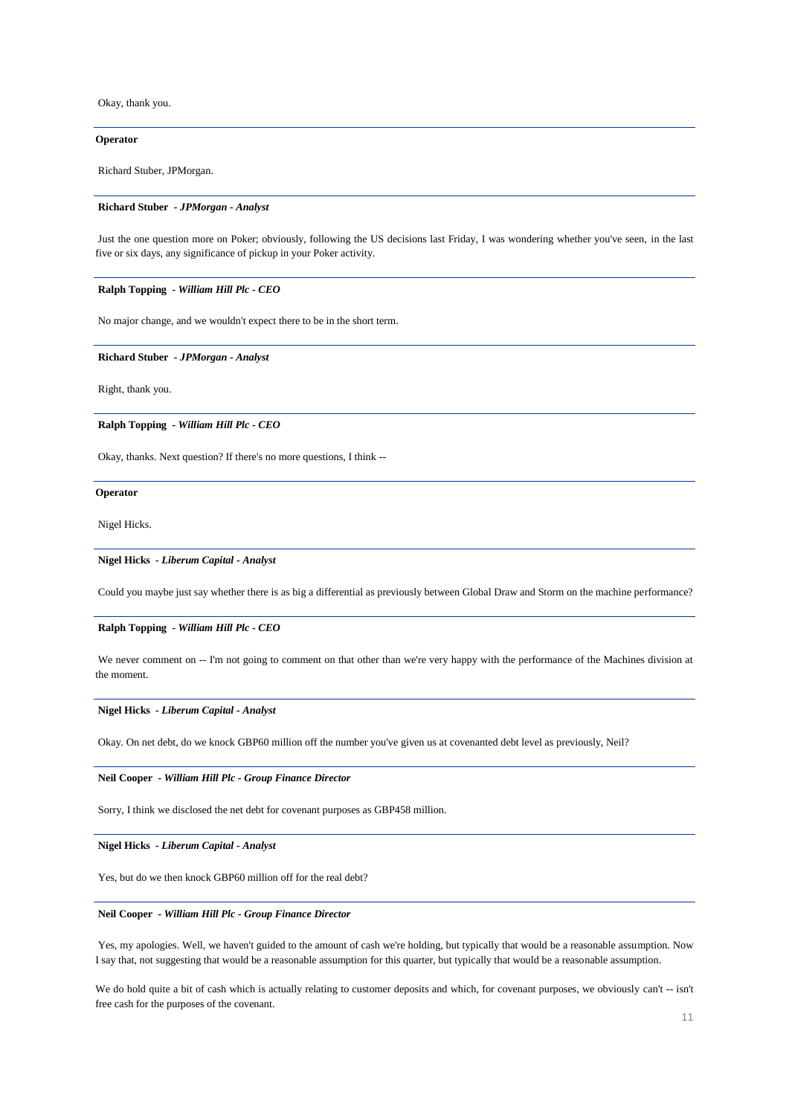Okay, thank you.

# **Operator**

Richard Stuber, JPMorgan.

#### **Richard Stuber** *- JPMorgan - Analyst*

Just the one question more on Poker; obviously, following the US decisions last Friday, I was wondering whether you've seen, in the last five or six days, any significance of pickup in your Poker activity.

### **Ralph Topping** *- William Hill Plc - CEO*

No major change, and we wouldn't expect there to be in the short term.

**Richard Stuber** *- JPMorgan - Analyst* 

Right, thank you.

**Ralph Topping** *- William Hill Plc - CEO* 

Okay, thanks. Next question? If there's no more questions, I think --

### **Operator**

Nigel Hicks.

#### **Nigel Hicks** *- Liberum Capital - Analyst*

Could you maybe just say whether there is as big a differential as previously between Global Draw and Storm on the machine performance?

#### **Ralph Topping** *- William Hill Plc - CEO*

We never comment on -- I'm not going to comment on that other than we're very happy with the performance of the Machines division at the moment.

# **Nigel Hicks** *- Liberum Capital - Analyst*

Okay. On net debt, do we knock GBP60 million off the number you've given us at covenanted debt level as previously, Neil?

# **Neil Cooper** *- William Hill Plc - Group Finance Director*

Sorry, I think we disclosed the net debt for covenant purposes as GBP458 million.

# **Nigel Hicks** *- Liberum Capital - Analyst*

Yes, but do we then knock GBP60 million off for the real debt?

#### **Neil Cooper** *- William Hill Plc - Group Finance Director*

Yes, my apologies. Well, we haven't guided to the amount of cash we're holding, but typically that would be a reasonable assumption. Now I say that, not suggesting that would be a reasonable assumption for this quarter, but typically that would be a reasonable assumption.

We do hold quite a bit of cash which is actually relating to customer deposits and which, for covenant purposes, we obviously can't -- isn't free cash for the purposes of the covenant.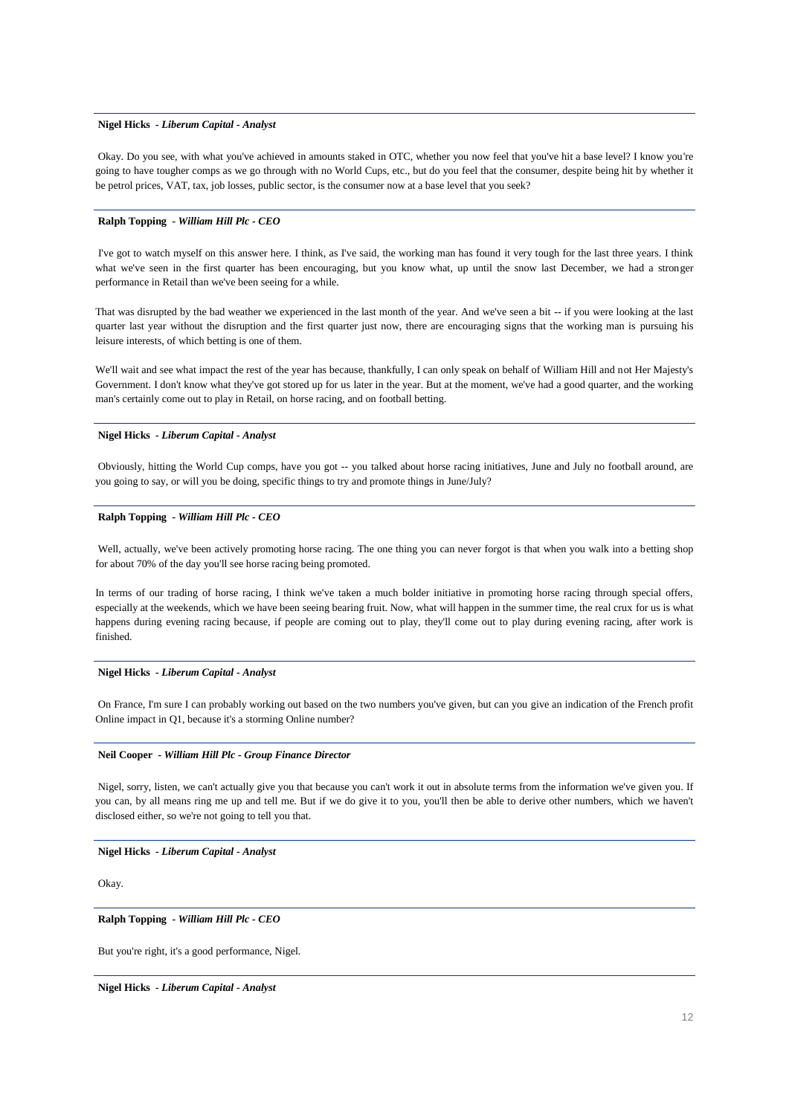#### **Nigel Hicks** *- Liberum Capital - Analyst*

Okay. Do you see, with what you've achieved in amounts staked in OTC, whether you now feel that you've hit a base level? I know you're going to have tougher comps as we go through with no World Cups, etc., but do you feel that the consumer, despite being hit by whether it be petrol prices, VAT, tax, job losses, public sector, is the consumer now at a base level that you seek?

# **Ralph Topping** *- William Hill Plc - CEO*

I've got to watch myself on this answer here. I think, as I've said, the working man has found it very tough for the last three years. I think what we've seen in the first quarter has been encouraging, but you know what, up until the snow last December, we had a stronger performance in Retail than we've been seeing for a while.

That was disrupted by the bad weather we experienced in the last month of the year. And we've seen a bit -- if you were looking at the last quarter last year without the disruption and the first quarter just now, there are encouraging signs that the working man is pursuing his leisure interests, of which betting is one of them.

We'll wait and see what impact the rest of the year has because, thankfully, I can only speak on behalf of William Hill and not Her Majesty's Government. I don't know what they've got stored up for us later in the year. But at the moment, we've had a good quarter, and the working man's certainly come out to play in Retail, on horse racing, and on football betting.

# **Nigel Hicks** *- Liberum Capital - Analyst*

Obviously, hitting the World Cup comps, have you got -- you talked about horse racing initiatives, June and July no football around, are you going to say, or will you be doing, specific things to try and promote things in June/July?

# **Ralph Topping** *- William Hill Plc - CEO*

Well, actually, we've been actively promoting horse racing. The one thing you can never forgot is that when you walk into a betting shop for about 70% of the day you'll see horse racing being promoted.

In terms of our trading of horse racing, I think we've taken a much bolder initiative in promoting horse racing through special offers, especially at the weekends, which we have been seeing bearing fruit. Now, what will happen in the summer time, the real crux for us is what happens during evening racing because, if people are coming out to play, they'll come out to play during evening racing, after work is finished.

# **Nigel Hicks** *- Liberum Capital - Analyst*

On France, I'm sure I can probably working out based on the two numbers you've given, but can you give an indication of the French profit Online impact in Q1, because it's a storming Online number?

### **Neil Cooper** *- William Hill Plc - Group Finance Director*

Nigel, sorry, listen, we can't actually give you that because you can't work it out in absolute terms from the information we've given you. If you can, by all means ring me up and tell me. But if we do give it to you, you'll then be able to derive other numbers, which we haven't disclosed either, so we're not going to tell you that.

# **Nigel Hicks** *- Liberum Capital - Analyst*

Okay.

# **Ralph Topping** *- William Hill Plc - CEO*

But you're right, it's a good performance, Nigel.

**Nigel Hicks** *- Liberum Capital - Analyst*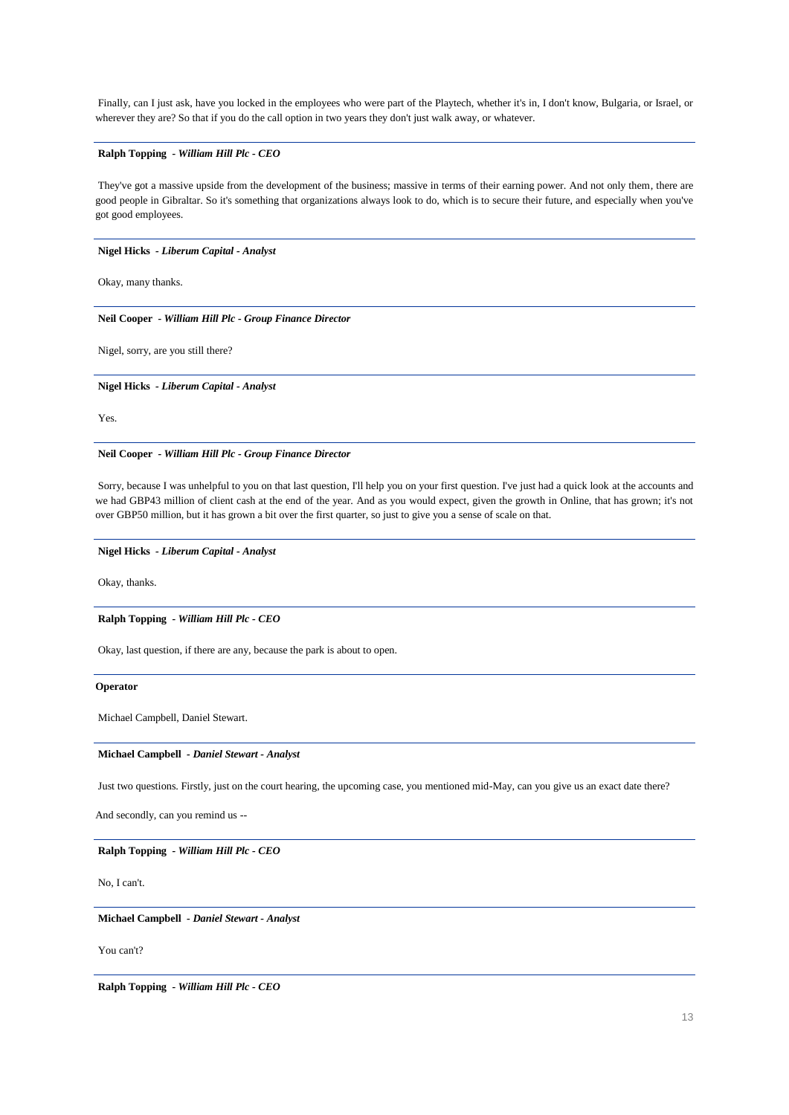Finally, can I just ask, have you locked in the employees who were part of the Playtech, whether it's in, I don't know, Bulgaria, or Israel, or wherever they are? So that if you do the call option in two years they don't just walk away, or whatever.

# **Ralph Topping** *- William Hill Plc - CEO*

They've got a massive upside from the development of the business; massive in terms of their earning power. And not only them, there are good people in Gibraltar. So it's something that organizations always look to do, which is to secure their future, and especially when you've got good employees.

**Nigel Hicks** *- Liberum Capital - Analyst* 

Okay, many thanks.

**Neil Cooper** *- William Hill Plc - Group Finance Director* 

Nigel, sorry, are you still there?

**Nigel Hicks** *- Liberum Capital - Analyst* 

Yes.

**Neil Cooper** *- William Hill Plc - Group Finance Director* 

Sorry, because I was unhelpful to you on that last question, I'll help you on your first question. I've just had a quick look at the accounts and we had GBP43 million of client cash at the end of the year. And as you would expect, given the growth in Online, that has grown; it's not over GBP50 million, but it has grown a bit over the first quarter, so just to give you a sense of scale on that.

**Nigel Hicks** *- Liberum Capital - Analyst* 

Okay, thanks.

**Ralph Topping** *- William Hill Plc - CEO* 

Okay, last question, if there are any, because the park is about to open.

**Operator**

Michael Campbell, Daniel Stewart.

### **Michael Campbell** *- Daniel Stewart - Analyst*

Just two questions. Firstly, just on the court hearing, the upcoming case, you mentioned mid-May, can you give us an exact date there?

And secondly, can you remind us --

**Ralph Topping** *- William Hill Plc - CEO* 

No, I can't.

**Michael Campbell** *- Daniel Stewart - Analyst* 

You can't?

**Ralph Topping** *- William Hill Plc - CEO*